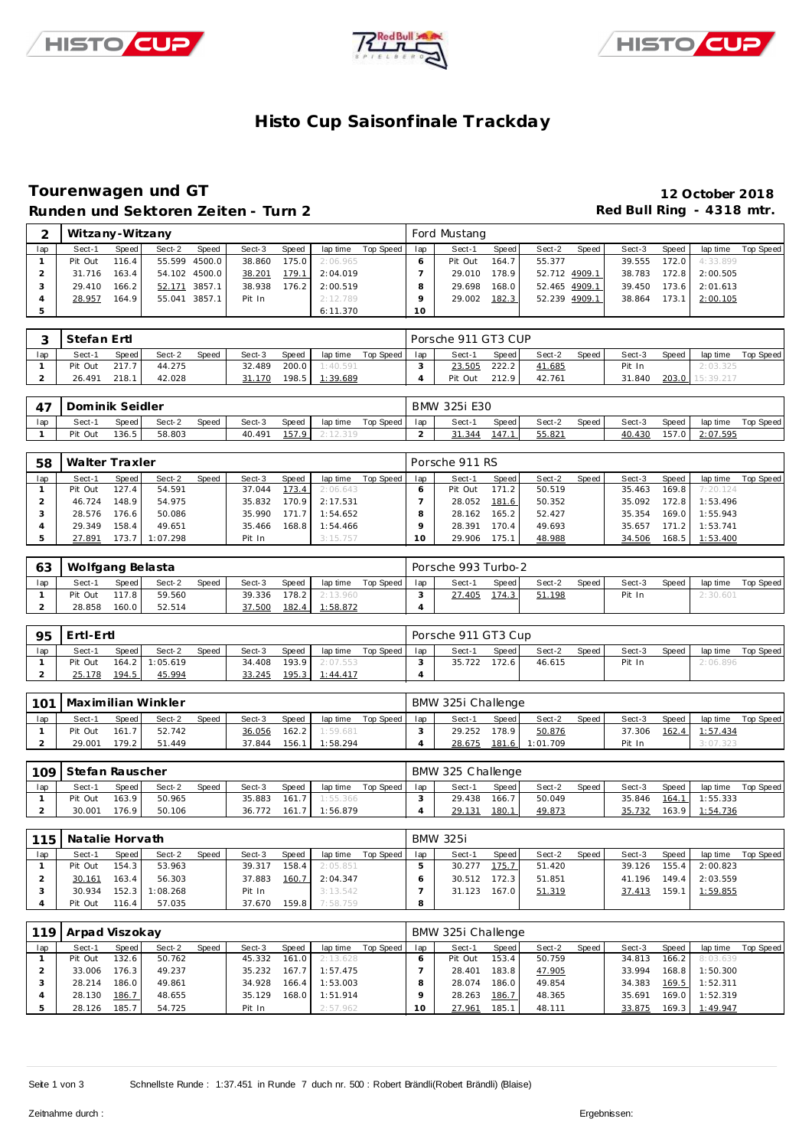





# **Histo Cup Saisonfinale Trackday**

### **Tourenwagen und GT 12 October 2018** Runden und Sektoren Zeiten - Turn 2 **Red Bull Ring - 4318 mtr.**

| ⌒   | Witzany-Witzany |                    |        |               |        |       |          |           |     | Ford Mustang |        |               |       |        |       |          |           |
|-----|-----------------|--------------------|--------|---------------|--------|-------|----------|-----------|-----|--------------|--------|---------------|-------|--------|-------|----------|-----------|
| lap | Sect-1          | Speed I            | Sect-2 | Speed         | Sect-3 | Speed | lap time | Top Speed | lap | Sect-1       | Speed  | Sect-2        | Speed | Sect-3 | Speed | lap time | Top Speed |
|     | Pit Out         | 116.4.             |        | 55.599 4500.0 | 38.860 | 175.0 | 2:06.965 |           |     | Pit Out      | 164.7  | 55.377        |       | 39.555 | 172.0 | 4:33.899 |           |
|     | 31.716          | 163.4 <sub>1</sub> |        | 54.102 4500.0 | 38.201 | 179.1 | 2:04.019 |           |     | 29.010       | 178.9  | 52.712 4909.1 |       | 38.783 | 172.8 | 2:00.505 |           |
|     | 29.410          | 166.2 <sub>1</sub> | 52.171 | 3857.1        | 38.938 | 176.2 | 2:00.519 |           |     | 29.698       | 168.01 | 52.465 4909.1 |       | 39.450 | 173.6 | 2:01.613 |           |
|     | 28.957          | 164.9              |        | 55.041 3857.1 | Pit In |       | 2:12.789 |           |     | 29.002       | 182.3  | 52.239 4909.1 |       | 38.864 | 173.1 | 2:00.105 |           |
| 5   |                 |                    |        |               |        |       | 6:11.370 |           | 10  |              |        |               |       |        |       |          |           |

|     | Stefan Ertl |       |        |       |        |              |          |           |     | Porsche 911 GT3 CUP |              |        |       |        |       |             |           |
|-----|-------------|-------|--------|-------|--------|--------------|----------|-----------|-----|---------------------|--------------|--------|-------|--------|-------|-------------|-----------|
| lap | Sect-1      | Speed | Sect-2 | Speed | Sect-3 | <b>Speed</b> | lap time | Top Speed | lap | Sect-1              | <b>Speed</b> | Sect-2 | Speed | Sect-3 | Speed | lap time    | Top Speed |
|     | Pit Out     | 217.7 | 44.275 |       | 32.489 | 200.0        | 1:40.591 |           |     | 23.505              | 222.2        | 41.685 |       | Pit In |       | 2:03.325    |           |
|     | 26.491      | 218.1 | 42.028 |       | 31.170 | 198.5        | 1:39.689 |           |     | Pit Out             | 212.9        | 42.761 |       | 31.840 | 203.0 | . 15:39.217 |           |

| 47  | Dominik Seidler |       |        |       |        |       |                |           |     | BMW 325i E30 |       |        |       |        |       |          |           |
|-----|-----------------|-------|--------|-------|--------|-------|----------------|-----------|-----|--------------|-------|--------|-------|--------|-------|----------|-----------|
| lap | Sect-1          | Speed | Sect-2 | Speed | Sect-3 | Speed | lap time       | Top Speed | lap | Sect-1       | Speed | Sect-2 | Speed | Sect-3 | Speed | lap time | Top Speed |
|     | Pit Out         | 136.5 | 58.803 |       | 40.491 |       | 157.9 2:12.319 |           |     | 31.344       | 147.1 | 55.821 |       | 40.430 | 157.0 | 2:07.595 |           |

| 58  | Walter Traxler |                    |          |       |        |       |          |           |     | Porsche 911 RS |       |        |       |        |       |          |           |
|-----|----------------|--------------------|----------|-------|--------|-------|----------|-----------|-----|----------------|-------|--------|-------|--------|-------|----------|-----------|
| lap | Sect-1         | Speed              | Sect-2   | Speed | Sect-3 | Speed | lap time | Top Speed | lap | Sect-1         | Speed | Sect-2 | Speed | Sect-3 | Speed | lap time | Top Speed |
|     | Pit Out        | 127.4              | 54.591   |       | 37.044 | 173.4 | 2:06.643 |           |     | Pit Out        | 171.2 | 50.519 |       | 35.463 | 169.8 | 7:20.124 |           |
|     | 46.724         | 148.9              | 54.975   |       | 35.832 | 170.9 | 2:17.531 |           |     | 28.052         | 181.6 | 50.352 |       | 35.092 | 172.8 | 1:53.496 |           |
|     | 28.576         | 176.6 <sub>1</sub> | 50.086   |       | 35.990 | 171.7 | 1:54.652 |           |     | 28.162         | 165.2 | 52.427 |       | 35.354 | 169.0 | 1:55.943 |           |
|     | 29.349         | 158.4              | 49.651   |       | 35.466 | 168.8 | 1:54.466 |           |     | 28.391         | 170.4 | 49.693 |       | 35.657 | 171.2 | 1:53.741 |           |
|     | 27.891         | 173.7              | 1:07.298 |       | Pit In |       | 3:15.757 |           |     | 29.906         | 175.1 | 48.988 |       | 34.506 | 168.5 | 1:53.400 |           |

| 63  | Wolfgang Belasta |       |        |              |        |         |          |           |     | Porsche 993 Turbo-2 |       |        |       |        |       |          |           |
|-----|------------------|-------|--------|--------------|--------|---------|----------|-----------|-----|---------------------|-------|--------|-------|--------|-------|----------|-----------|
| lap | Sect-1           | Speed | Sect-2 | <b>Speed</b> | Sect-3 | Speed   | lap time | Top Speed | lap | Sect-1              | Speed | Sect-2 | Speed | Sect-3 | Speed | lap time | Top Speed |
|     | Pit Out          | 117.8 | 59.560 |              | 39.336 | $178.2$ | 2:13.960 |           |     | 27.405              | 174.3 | 51.198 |       | Pit In |       | 2:30.601 |           |
|     | 28.858           | 160.0 | 52.514 |              | 37.500 | 182.4   | 1:58.872 |           |     |                     |       |        |       |        |       |          |           |

| 95  | ' Ertl-Ertl |       |                |       |        |       |                 |           |     | Porsche 911 GT3 Cup |         |        |       |        |       |          |           |
|-----|-------------|-------|----------------|-------|--------|-------|-----------------|-----------|-----|---------------------|---------|--------|-------|--------|-------|----------|-----------|
| lap | Sect-1      | Speed | Sect-2         | Speed | Sect-3 | Speed | lap time        | Top Speed | lap | Sect-1              | Speed I | Sect-2 | Speed | Sect-3 | Speed | lap time | Top Speed |
|     | Pit Out     |       | 164.2 1:05.619 |       | 34.408 | 193.9 | 2:07.553        |           |     | 35.722              | 172.6   | 46.615 |       | Pit In |       | 2:06.896 |           |
|     | 25.178      | 194.5 | 45.994         |       | 33.245 | 195.3 | <u>1:44.417</u> |           |     |                     |         |        |       |        |       |          |           |

| 101 | l Maximilian Winkler |       |        |       |        |       |          |           |     | BMW 325i Challenge |       |          |       |        |       |                |           |
|-----|----------------------|-------|--------|-------|--------|-------|----------|-----------|-----|--------------------|-------|----------|-------|--------|-------|----------------|-----------|
| lap | Sect-1               | Speed | Sect-2 | Speed | Sect-3 | Speed | lap time | Top Speed | lap | Sect-1             | Speed | Sect-2   | Speed | Sect-3 | Speed | lap time       | Top Speed |
|     | Pit Out              | 161.7 | 52.742 |       | 36.056 | 162.2 | 1:59.681 |           |     | 29.252             | 178.9 | 50.876   |       | 37.306 |       | 162.4 1:57.434 |           |
|     | 29.001               | 179.2 | 51.449 |       | 37.844 | 156.1 | 1:58.294 |           |     | 28.675             | 181.6 | 1:01.709 |       | Pit In |       | 3:07.323       |           |

|     | 109 Stefan Rauscher |       |        |       |        |       |          |           |     | BMW 325 Challenge |        |        |       |        |       |                |           |
|-----|---------------------|-------|--------|-------|--------|-------|----------|-----------|-----|-------------------|--------|--------|-------|--------|-------|----------------|-----------|
| lap | Sect-1              | Speed | Sect-2 | Speed | Sect-3 | Speed | lap time | Top Speed | lap | Sect-1            | Speed  | Sect-2 | Speed | Sect-3 | Speed | lap time       | Top Speed |
|     | Pit Out             | 163.9 | 50.965 |       | 35.883 | 161.7 | 1:55.366 |           |     | 29.438            | 166.71 | 50.049 |       | 35.846 | 164.1 | 1:55.333       |           |
|     | 30.001              | 176.9 | 50.106 |       | 36.772 | 161.7 | 1:56.879 |           |     | 29.131            | 180.1  | 49.873 |       | 35.732 |       | 163.9 1:54.736 |           |

| 115 | Natalie Horvath |       |          |              |        |       |          |           |     | <b>BMW 325i</b> |       |        |       |        |        |          |           |
|-----|-----------------|-------|----------|--------------|--------|-------|----------|-----------|-----|-----------------|-------|--------|-------|--------|--------|----------|-----------|
| lap | Sect-1          | Speed | Sect-2   | <b>Speed</b> | Sect-3 | Speed | lap time | Top Speed | lap | Sect-1          | Speed | Sect-2 | Speed | Sect-3 | Speed  | lap time | Top Speed |
|     | Pit Out         | 154.3 | 53.963   |              | 39.317 | 158.4 | 2:05.851 |           |     | 30.277          | 175.7 | 51.420 |       | 39.126 | 155.4  | 2:00.823 |           |
|     | 30.161          | 163.4 | 56.303   |              | 37.883 | 160.7 | 2:04.347 |           |     | 30.512          | 172.3 | 51.851 |       | 41.196 | 149.41 | 2:03.559 |           |
|     | 30.934          | 152.3 | 1:08.268 |              | Pit In |       | 3:13.542 |           |     | 31.123          | 167.0 | 51.319 |       | 37.413 | 159.1  | 1:59.855 |           |
|     | Pit Out         | 116.4 | 57.035   |              | 37.670 | 159.8 | 7:58.759 |           | 8   |                 |       |        |       |        |        |          |           |

|     | 119 Arpad Viszokay |       |        |       |        |       |          |           |     | BMW 325i Challenge |       |        |       |        |       |          |           |
|-----|--------------------|-------|--------|-------|--------|-------|----------|-----------|-----|--------------------|-------|--------|-------|--------|-------|----------|-----------|
| lap | Sect-1             | Speed | Sect-2 | Speed | Sect-3 | Speed | lap time | Top Speed | lap | Sect-1             | Speed | Sect-2 | Speed | Sect-3 | Speed | lap time | Top Speed |
|     | Pit Out            | 132.6 | 50.762 |       | 45.332 | 161.0 | 2:13.628 |           |     | Pit Out            | 153.4 | 50.759 |       | 34.813 | 166.2 | 8:03.639 |           |
|     | 33.006             | 176.3 | 49.237 |       | 35.232 | 167.7 | 1:57.475 |           |     | 28.401             | 183.8 | 47.905 |       | 33.994 | 168.8 | 1:50.300 |           |
|     | 28.214             | 186.0 | 49.861 |       | 34.928 | 166.4 | 1:53.003 |           |     | 28.074             | 186.0 | 49.854 |       | 34.383 | 169.5 | 1:52.311 |           |
|     | 28.130             | 186.7 | 48.655 |       | 35.129 | 168.0 | 1:51.914 |           |     | 28.263             | 186.7 | 48.365 |       | 35.691 | 169.0 | 1:52.319 |           |
|     | 28.126             | 185.7 | 54.725 |       | Pit In |       | 2:57.962 |           | O   | 27.961             | 185.1 | 48.111 |       | 33.875 | 169.3 | 1:49.947 |           |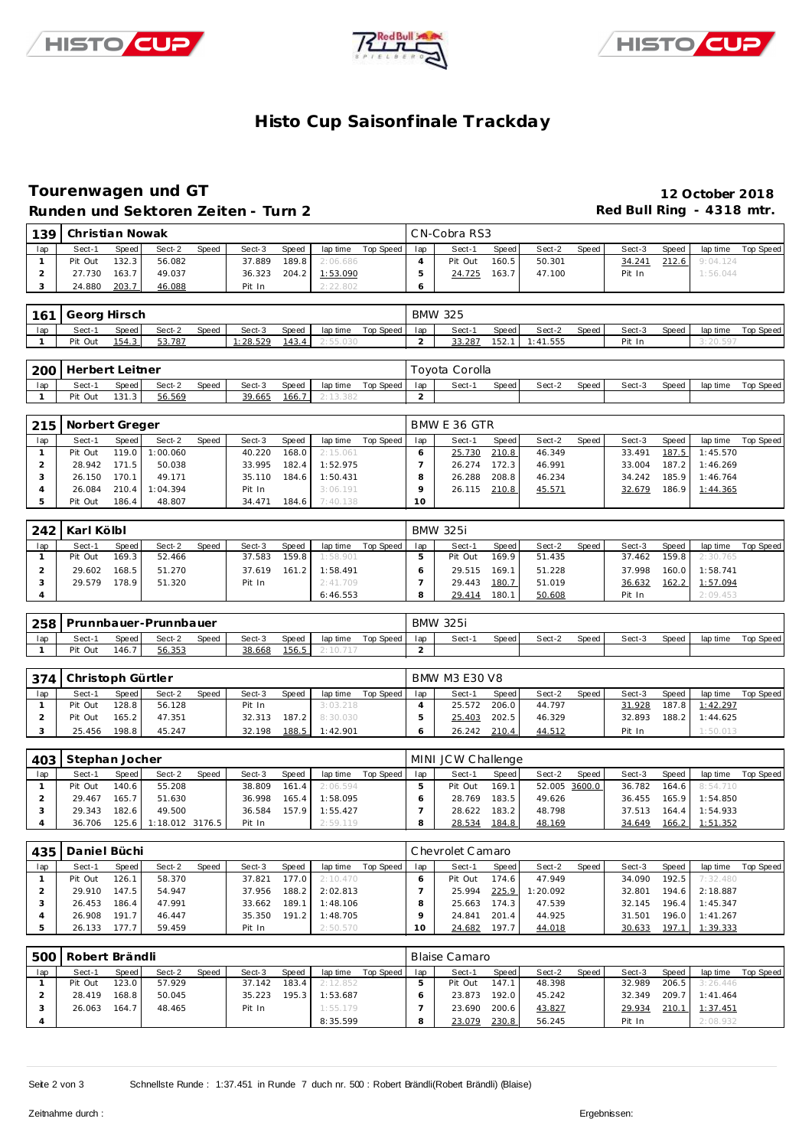





# **Histo Cup Saisonfinale Trackday**

### **Tourenwagen und GT 12 October 2018 Runden und Sektoren Ze iten - Turn 2 Red Bull Ring - 4318 mtr.**

|                                | Runden und Sektoren Zeiten - Turn 2 |                |                       |       |                    |                |                      |                    |                       |                              |                |                    |       | Rea Bull Ring $-4318$ must |                |                      |                                                                      |
|--------------------------------|-------------------------------------|----------------|-----------------------|-------|--------------------|----------------|----------------------|--------------------|-----------------------|------------------------------|----------------|--------------------|-------|----------------------------|----------------|----------------------|----------------------------------------------------------------------|
| 139                            | Christian Nowak                     |                |                       |       |                    |                |                      |                    |                       | CN-Cobra RS3                 |                |                    |       |                            |                |                      |                                                                      |
| lap                            | Sect-1                              | Speed          | Sect-2                | Speed | Sect-3             | Speed          | lap time             | Top Speed          | lap                   | Sect-1                       | Speed          | Sect-2             | Speed | Sect-3                     | Speed          | lap time             | <b>Top Speed</b>                                                     |
| $\mathbf{1}$                   | Pit Out                             | 132.3          | 56.082                |       | 37.889             | 189.8          | 2:06.686             |                    | 4                     | Pit Out                      | 160.5          | 50.301             |       | 34.241                     | 212.6          | 9:04.124             |                                                                      |
| $\overline{c}$                 | 27.730                              | 163.7          | 49.037                |       | 36.323             | 204.2          | 1:53.090             |                    | 5                     | 24.725                       | 163.7          | 47.100             |       | Pit In                     |                | 1:56.044             |                                                                      |
| 3                              | 24.880                              | 203.7          | 46.088                |       | Pit In             |                | 2:22.802             |                    | 6                     |                              |                |                    |       |                            |                |                      |                                                                      |
|                                |                                     |                |                       |       |                    |                |                      |                    |                       |                              |                |                    |       |                            |                |                      |                                                                      |
| 161                            | Georg Hirsch                        |                |                       |       |                    |                |                      |                    |                       | <b>BMW 325</b>               |                |                    |       |                            |                |                      |                                                                      |
| lap                            | Sect-1<br>Pit Out                   | Speed<br>154.3 | Sect-2<br>53.787      | Speed | Sect-3<br>1:28.529 | Speed          | lap time             | <b>Top Speed</b>   | lap<br>$\overline{2}$ | Sect-1<br>33.287             | Speed          | Sect-2             | Speed | Sect-3                     | Speed          | lap time             | Top Speed                                                            |
| 1                              |                                     |                |                       |       |                    | 143.4          | 2:55.030             |                    |                       |                              | 152.1          | 1:41.555           |       | Pit In                     |                | 3:20.597             |                                                                      |
| 200                            | Herbert Leitner                     |                |                       |       |                    |                |                      |                    |                       | Toyota Corolla               |                |                    |       |                            |                |                      |                                                                      |
| lap                            | Sect-1                              | Speed          | Sect-2                | Speed | Sect-3             | Speed          | lap time             | Top Speed          | lap                   | Sect-1                       | Speed          | Sect-2             | Speed | Sect-3                     | Speed          | lap time             | Top Speed                                                            |
| $\mathbf{1}$                   | Pit Out                             | 131.3          | 56.569                |       | 39.665             | 166.7          | 2:13.382             |                    | 2                     |                              |                |                    |       |                            |                |                      |                                                                      |
|                                |                                     |                |                       |       |                    |                |                      |                    |                       |                              |                |                    |       |                            |                |                      |                                                                      |
| 215                            | Norbert Greger                      |                |                       |       |                    |                |                      |                    |                       | BMW E 36 GTR                 |                |                    |       |                            |                |                      |                                                                      |
| lap                            | Sect-1                              | Speed          | Sect-2                | Speed | Sect-3             | Speed          | lap time             | <b>Top Speed</b>   | lap                   | Sect-1                       | Speed          | Sect-2             | Speed | Sect-3                     | Speed          | lap time             | Top Speed                                                            |
| $\mathbf{1}$                   | Pit Out                             | 119.0          | 1:00.060              |       | 40.220             | 168.0          | 2:15.061             |                    | 6                     | 25.730                       | 210.8          | 46.349             |       | 33.491                     | 187.5          | 1:45.570             |                                                                      |
| $\overline{\mathbf{c}}$        | 28.942                              | 171.5          | 50.038                |       | 33.995             | 182.4          | 1:52.975             |                    | $\overline{7}$        | 26.274                       | 172.3          | 46.991             |       | 33.004                     | 187.2          | 1:46.269             |                                                                      |
| 3<br>4                         | 26.150<br>26.084                    | 170.1<br>210.4 | 49.171<br>1:04.394    |       | 35.110<br>Pit In   | 184.6          | 1:50.431<br>3:06.191 |                    | 8<br>9                | 26.288<br>26.115             | 208.8<br>210.8 | 46.234<br>45.571   |       | 34.242<br>32.679           | 185.9<br>186.9 | 1:46.764<br>1:44.365 |                                                                      |
| 5                              | Pit Out                             | 186.4          | 48.807                |       | 34.471             | 184.6          | 7:40.138             |                    | 10                    |                              |                |                    |       |                            |                |                      |                                                                      |
|                                |                                     |                |                       |       |                    |                |                      |                    |                       |                              |                |                    |       |                            |                |                      |                                                                      |
| 242                            | Karl Kölbl                          |                |                       |       |                    |                |                      |                    |                       | <b>BMW 325i</b>              |                |                    |       |                            |                |                      |                                                                      |
| lap                            | Sect-1                              | Speed          | Sect-2                | Speed | Sect-3             | Speed          | lap time             | <b>Top Speed</b>   | lap                   | Sect-1                       | Speed          | Sect-2             | Speed | Sect-3                     | Speed          | lap time             | Top Speed                                                            |
| $\mathbf{1}$                   | Pit Out                             | 169.3          | 52.466                |       | 37.583             | 159.8          | 1:58.901             |                    | 5                     | Pit Out                      | 169.9          | 51.435             |       | 37.462                     | 159.8          | 2:30.765             |                                                                      |
| $\overline{c}$                 | 29.602                              | 168.5          | 51.270                |       | 37.619             | 161.2          | 1:58.491             |                    | 6                     | 29.515                       | 169.1          | 51.228             |       | 37.998                     | 160.0          | 1:58.741             |                                                                      |
| 3                              | 29.579                              | 178.9          | 51.320                |       | Pit In             |                | 2:41.709             |                    | $\overline{7}$        | 29.443                       | 180.7          | 51.019             |       | 36.632                     | 162.2          | 1:57.094             |                                                                      |
| $\overline{4}$                 |                                     |                |                       |       |                    |                | 6:46.553             |                    | 8                     | 29.414                       | 180.1          | 50.608             |       | Pit In                     |                | 2:09.453             |                                                                      |
| 258                            |                                     |                | Prunnbauer-Prunnbauer |       |                    |                |                      |                    |                       | <b>BMW 325i</b>              |                |                    |       |                            |                |                      |                                                                      |
|                                |                                     |                |                       |       |                    |                |                      |                    |                       |                              |                |                    |       |                            |                |                      |                                                                      |
|                                |                                     |                |                       |       |                    |                |                      |                    |                       |                              |                |                    |       |                            |                |                      |                                                                      |
| lap<br>$\mathbf{1}$            | Sect-1<br>Pit Out                   | Speed<br>146.7 | Sect-2<br>56.353      | Speed | Sect-3<br>38.668   | Speed<br>156.5 | lap time<br>2:10.717 | <b>Top Speed</b>   | lap<br>$\overline{2}$ | Sect-1                       | Speed          | Sect-2             | Speed | Sect-3                     | Speed          | lap time             |                                                                      |
|                                |                                     |                |                       |       |                    |                |                      |                    |                       |                              |                |                    |       |                            |                |                      |                                                                      |
| 374                            | Christoph Gürtler                   |                |                       |       |                    |                |                      |                    |                       | <b>BMW M3 E30 V8</b>         |                |                    |       |                            |                |                      |                                                                      |
| lap                            | Sect-1                              | Speed          | Sect-2                | Speed | Sect-3             | Speed          | lap time             | <b>Top Speed</b>   | lap                   | Sect-1                       | Speed          | Sect-2             | Speed | Sect-3                     | Speed          | lap time             |                                                                      |
| $\mathbf{1}$                   | Pit Out                             | 128.8          | 56.128                |       | Pit In             |                | 3:03.218             |                    | $\overline{4}$        | 25.572                       | 206.0          | 44.797             |       | 31.928                     | 187.8          | 1:42.297             |                                                                      |
| $\overline{c}$                 | Pit Out                             | 165.2          | 47.351                |       | 32.313             | 187.2          | 8:30.030             |                    | 5                     | 25.403                       | 202.5          | 46.329             |       | 32.893                     | 188.2          | 1:44.625             |                                                                      |
| 3                              | 25.456                              | 198.8          | 45.247                |       | 32.198             | 188.5          | 1:42.901             |                    | 6                     | 26.242                       | 210.4          | 44.512             |       | Pit In                     |                | 1:50.013             |                                                                      |
|                                |                                     |                |                       |       |                    |                |                      |                    |                       |                              |                |                    |       |                            |                |                      |                                                                      |
| 403<br>lap                     | Stephan Jocher<br>Sect-1            |                | Sect-2                | Speed | Sect-3             |                |                      | <b>Top Speed</b>   | lap                   | MINI JCW Challenge<br>Sect-1 |                | Sect-2             |       | Sect-3                     | Speed          |                      |                                                                      |
| $\mathbf{1}$                   | Pit Out                             | Speed<br>140.6 | 55.208                |       | 38.809             | Speed<br>161.4 | lap time<br>2:06.594 |                    | 5                     | Pit Out                      | Speed<br>169.1 | 52.005 3600.0      | Speed | 36.782                     | 164.6          | lap time<br>8:54.710 |                                                                      |
| $\overline{\mathbf{c}}$        | 29.467                              | 165.7          | 51.630                |       | 36.998             | 165.4          | 1:58.095             |                    | 6                     | 28.769                       | 183.5          | 49.626             |       | 36.455                     | 165.9          | 1:54.850             |                                                                      |
| 3                              | 29.343                              | 182.6          | 49.500                |       | 36.584             | 157.9          | 1:55.427             |                    | $\overline{7}$        | 28.622 183.2                 |                | 48.798             |       | 37.513                     | 164.4          | 1:54.933             |                                                                      |
| $\overline{4}$                 | 36.706                              | 125.6          | 1:18.012 3176.5       |       | Pit In             |                | 0. EO 11             |                    | 8                     | 28.534                       | 184.8          | 48.169             |       | 34.649                     | 166.2          | 1:51.352             |                                                                      |
|                                |                                     |                |                       |       |                    |                |                      |                    |                       |                              |                |                    |       |                            |                |                      |                                                                      |
| 435                            | Daniel Büchi                        |                |                       |       |                    |                |                      |                    |                       | Chevrolet Camaro             |                |                    |       |                            |                |                      |                                                                      |
| lap                            | Sect-1                              | Speed          | Sect-2                | Speed | Sect-3             | Speed          |                      | lap time Top Speed | lap                   | Sect-1                       | Speed          | Sect-2             | Speed | Sect-3                     | Speed          | lap time             |                                                                      |
| $\mathbf{1}$<br>$\overline{2}$ | Pit Out<br>29.910                   | 126.1<br>147.5 | 58.370<br>54.947      |       | 37.821<br>37.956   | 177.0<br>188.2 | 2:10.470<br>2:02.813 |                    | 6<br>$\overline{7}$   | Pit Out<br>25.994            | 174.6<br>225.9 | 47.949<br>1:20.092 |       | 34.090<br>32.801           | 192.5<br>194.6 | 7:32.480<br>2:18.887 |                                                                      |
| 3                              | 26.453                              | 186.4          | 47.991                |       | 33.662             | 189.1          | 1:48.106             |                    | 8                     | 25.663                       | 174.3          | 47.539             |       | 32.145                     | 196.4          | 1:45.347             |                                                                      |
| 4                              | 26.908                              | 191.7          | 46.447                |       | 35.350             | 191.2          | 1:48.705             |                    | 9                     | 24.841                       | 201.4          | 44.925             |       | 31.501                     | 196.0          | 1:41.267             |                                                                      |
| 5                              | 26.133                              | 177.7          | 59.459                |       | Pit In             |                | 2:50.570             |                    | 10                    | 24.682                       | 197.7          | 44.018             |       | 30.633                     | 197.1          | 1:39.333             |                                                                      |
|                                |                                     |                |                       |       |                    |                |                      |                    |                       |                              |                |                    |       |                            |                |                      |                                                                      |
| 500                            | Robert Brändli                      |                |                       |       |                    |                |                      |                    |                       | <b>Blaise Camaro</b>         |                |                    |       |                            |                |                      |                                                                      |
| lap                            | Sect-1                              | Speed          | Sect-2                | Speed | Sect-3             | Speed          |                      | lap time Top Speed | lap                   | Sect-1                       | Speed          | Sect-2             | Speed | Sect-3                     | Speed          | lap time             |                                                                      |
| $\mathbf{1}$<br>$\overline{2}$ | Pit Out<br>28.419                   | 123.0<br>168.8 | 57.929<br>50.045      |       | 37.142<br>35.223   | 183.4<br>195.3 | 2:12.852<br>1:53.687 |                    | 5<br>6                | Pit Out<br>23.873            | 147.1<br>192.0 | 48.398<br>45.242   |       | 32.989<br>32.349           | 206.5<br>209.7 | 3:26.446<br>1:41.464 |                                                                      |
| 3                              | 26.063                              | 164.7          | 48.465                |       | Pit In             |                | 1:55.179             |                    | $\overline{7}$        | 23.690 200.6                 |                | 43.827             |       | 29.934                     | 210.1          | 1:37.451             | Top Speed<br><b>Top Speed</b><br>Top Speed<br>Top Speed<br>Top Speed |